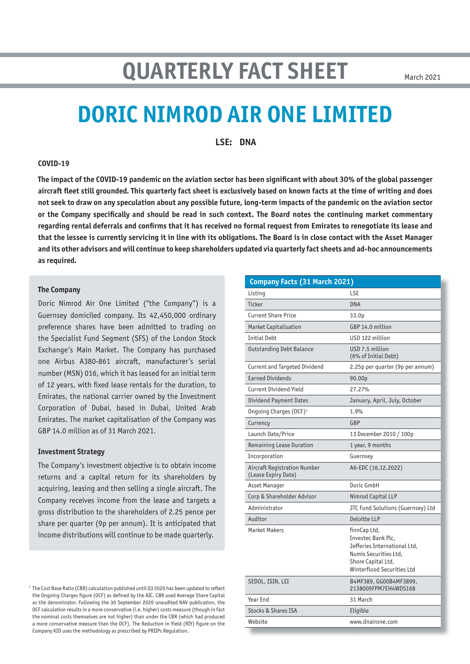# **QUARTERLY FACT SHEET**

March 2021

# **DORIC NIMROD AIR ONE LIMITED**

**LSE: DNA**

#### **COVID-19**

**The impact of the COVID-19 pandemic on the aviation sector has been significant with about 30% of the global passenger aircraft fleet still grounded. This quarterly fact sheet is exclusively based on known facts at the time of writing and does not seek to draw on any speculation about any possible future, long-term impacts of the pandemic on the aviation sector or the Company specifically and should be read in such context. The Board notes the continuing market commentary regarding rental deferrals and confirms that it has received no formal request from Emirates to renegotiate its lease and that the lessee is currently servicing it in line with its obligations. The Board is in close contact with the Asset Manager and its other advisors and will continue to keep shareholders updated via quarterly fact sheets and ad-hoc announcements as required.**

#### **The Company**

Doric Nimrod Air One Limited ("the Company") is a Guernsey domiciled company. Its 42,450,000 ordinary preference shares have been admitted to trading on the Specialist Fund Segment (SFS) of the London Stock Exchange's Main Market. The Company has purchased one Airbus A380-861 aircraft, manufacturer's serial number (MSN) 016, which it has leased for an initial term of 12 years, with fixed lease rentals for the duration, to Emirates, the national carrier owned by the Investment Corporation of Dubai, based in Dubai, United Arab Emirates. The market capitalisation of the Company was GBP 14.0 million as of 31 March 2021.

#### **Investment Strategy**

The Company's investment objective is to obtain income returns and a capital return for its shareholders by acquiring, leasing and then selling a single aircraft. The Company receives income from the lease and targets a gross distribution to the shareholders of 2.25 pence per share per quarter (9p per annum). It is anticipated that income distributions will continue to be made quarterly.

<sup>1</sup> The Cost Base Ratio (CBR) calculation published until Q3 2020 has been updated to reflect the Ongoing Charges figure (OCF) as defined by the AIC. CBR used Average Share Capital as the denominator. Following the 30 September 2020 unaudited NAV publication, the OCF calculation results in a more conservative (i.e. higher) costs measure (though in fact the nominal costs themselves are not higher) than under the CBR (which had produced a more conservative measure than the OCF). The Reduction in Yield (RIY) figure on the Company KID uses the methodology as prescribed by PRIIPs Regulation.

| Company Facts (31 March 2021)                       |                                                                                                                                                 |  |  |  |  |
|-----------------------------------------------------|-------------------------------------------------------------------------------------------------------------------------------------------------|--|--|--|--|
| Listing                                             | LSE                                                                                                                                             |  |  |  |  |
| Ticker                                              | <b>DNA</b>                                                                                                                                      |  |  |  |  |
| <b>Current Share Price</b>                          | 33.0p                                                                                                                                           |  |  |  |  |
| Market Capitalisation                               | GBP 14.0 million                                                                                                                                |  |  |  |  |
| <b>Initial Debt</b>                                 | USD 122 million                                                                                                                                 |  |  |  |  |
| <b>Outstanding Debt Balance</b>                     | USD 7.5 million<br>(6% of Initial Debt)                                                                                                         |  |  |  |  |
| Current and Targeted Dividend                       | 2.25p per quarter (9p per annum)                                                                                                                |  |  |  |  |
| <b>Earned Dividends</b>                             | 90.00p                                                                                                                                          |  |  |  |  |
| Current Dividend Yield                              | 27.27%                                                                                                                                          |  |  |  |  |
| Dividend Payment Dates                              | January, April, July, October                                                                                                                   |  |  |  |  |
| Ongoing Charges (OCF) <sup>1</sup>                  | 1.9%                                                                                                                                            |  |  |  |  |
| Currency                                            | GBP                                                                                                                                             |  |  |  |  |
| Launch Date/Price                                   | 13 December 2010 / 100p                                                                                                                         |  |  |  |  |
| Remaining Lease Duration                            | 1 year, 9 months                                                                                                                                |  |  |  |  |
| Incorporation                                       | Guernsey                                                                                                                                        |  |  |  |  |
| Aircraft Registration Number<br>(Lease Expiry Date) | A6-EDC (16.12.2022)                                                                                                                             |  |  |  |  |
| Asset Manager                                       | Doric GmbH                                                                                                                                      |  |  |  |  |
| Corp & Shareholder Advisor                          | Nimrod Capital LLP                                                                                                                              |  |  |  |  |
| Administrator                                       | JTC Fund Solutions (Guernsey) Ltd                                                                                                               |  |  |  |  |
| Auditor                                             | Deloitte LLP                                                                                                                                    |  |  |  |  |
| <b>Market Makers</b>                                | finnCap Ltd,<br>Investec Bank Plc,<br>Jefferies International Ltd,<br>Numis Securities Ltd.<br>Shore Capital Ltd,<br>Winterflood Securities Ltd |  |  |  |  |
| SEDOL, ISIN, LEI                                    | B4MF389, GG00B4MF3899,<br>2138009FPM7EH4WDS168                                                                                                  |  |  |  |  |
| Year End                                            | 31 March                                                                                                                                        |  |  |  |  |
| <b>Stocks &amp; Shares ISA</b>                      | Eligible                                                                                                                                        |  |  |  |  |
| Website                                             | www.dnairone.com                                                                                                                                |  |  |  |  |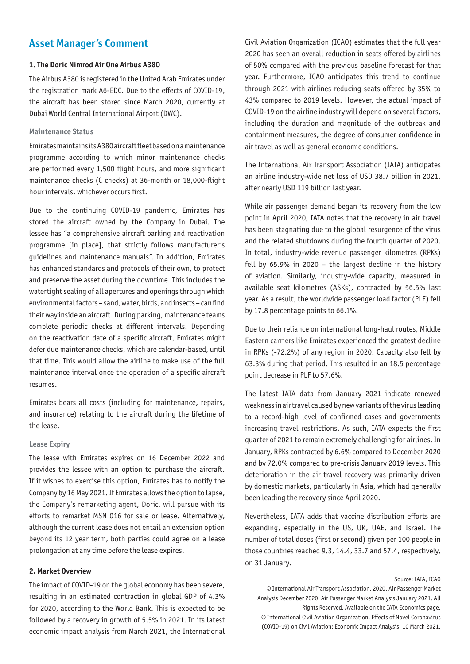### **Asset Manager's Comment**

#### **1. The Doric Nimrod Air One Airbus A380**

The Airbus A380 is registered in the United Arab Emirates under the registration mark A6-EDC. Due to the effects of COVID-19, the aircraft has been stored since March 2020, currently at Dubai World Central International Airport (DWC).

#### **Maintenance Status**

Emirates maintains its A380 aircraft fleet based on a maintenance programme according to which minor maintenance checks are performed every 1,500 flight hours, and more significant maintenance checks (C checks) at 36-month or 18,000-flight hour intervals, whichever occurs first.

Due to the continuing COVID-19 pandemic, Emirates has stored the aircraft owned by the Company in Dubai. The lessee has "a comprehensive aircraft parking and reactivation programme [in place], that strictly follows manufacturer's guidelines and maintenance manuals". In addition, Emirates has enhanced standards and protocols of their own, to protect and preserve the asset during the downtime. This includes the watertight sealing of all apertures and openings through which environmental factors – sand, water, birds, and insects – can find their way inside an aircraft. During parking, maintenance teams complete periodic checks at different intervals. Depending on the reactivation date of a specific aircraft, Emirates might defer due maintenance checks, which are calendar-based, until that time. This would allow the airline to make use of the full maintenance interval once the operation of a specific aircraft resumes.

Emirates bears all costs (including for maintenance, repairs, and insurance) relating to the aircraft during the lifetime of the lease.

#### **Lease Expiry**

The lease with Emirates expires on 16 December 2022 and provides the lessee with an option to purchase the aircraft. If it wishes to exercise this option, Emirates has to notify the Company by 16 May 2021. If Emirates allows the option to lapse, the Company's remarketing agent, Doric, will pursue with its efforts to remarket MSN 016 for sale or lease. Alternatively, although the current lease does not entail an extension option beyond its 12 year term, both parties could agree on a lease prolongation at any time before the lease expires.

#### **2. Market Overview**

The impact of COVID-19 on the global economy has been severe, resulting in an estimated contraction in global GDP of 4.3% for 2020, according to the World Bank. This is expected to be followed by a recovery in growth of 5.5% in 2021. In its latest economic impact analysis from March 2021, the International

Civil Aviation Organization (ICAO) estimates that the full year 2020 has seen an overall reduction in seats offered by airlines of 50% compared with the previous baseline forecast for that year. Furthermore, ICAO anticipates this trend to continue through 2021 with airlines reducing seats offered by 35% to 43% compared to 2019 levels. However, the actual impact of COVID-19 on the airline industry will depend on several factors, including the duration and magnitude of the outbreak and containment measures, the degree of consumer confidence in air travel as well as general economic conditions.

The International Air Transport Association (IATA) anticipates an airline industry-wide net loss of USD 38.7 billion in 2021, after nearly USD 119 billion last year.

While air passenger demand began its recovery from the low point in April 2020, IATA notes that the recovery in air travel has been stagnating due to the global resurgence of the virus and the related shutdowns during the fourth quarter of 2020. In total, industry-wide revenue passenger kilometres (RPKs) fell by 65.9% in 2020 – the largest decline in the history of aviation. Similarly, industry-wide capacity, measured in available seat kilometres (ASKs), contracted by 56.5% last year. As a result, the worldwide passenger load factor (PLF) fell by 17.8 percentage points to 66.1%.

Due to their reliance on international long-haul routes, Middle Eastern carriers like Emirates experienced the greatest decline in RPKs (-72.2%) of any region in 2020. Capacity also fell by 63.3% during that period. This resulted in an 18.5 percentage point decrease in PLF to 57.6%.

The latest IATA data from January 2021 indicate renewed weakness in air travel caused by new variants of the virus leading to a record-high level of confirmed cases and governments increasing travel restrictions. As such, IATA expects the first quarter of 2021 to remain extremely challenging for airlines. In January, RPKs contracted by 6.6% compared to December 2020 and by 72.0% compared to pre-crisis January 2019 levels. This deterioration in the air travel recovery was primarily driven by domestic markets, particularly in Asia, which had generally been leading the recovery since April 2020.

Nevertheless, IATA adds that vaccine distribution efforts are expanding, especially in the US, UK, UAE, and Israel. The number of total doses (first or second) given per 100 people in those countries reached 9.3, 14.4, 33.7 and 57.4, respectively, on 31 January.

Source: IATA, ICAO © International Air Transport Association, 2020. Air Passenger Market Analysis December 2020. Air Passenger Market Analysis January 2021. All Rights Reserved. Available on the IATA Economics page. © International Civil Aviation Organization. Effects of Novel Coronavirus (COVID-19) on Civil Aviation: Economic Impact Analysis, 10 March 2021.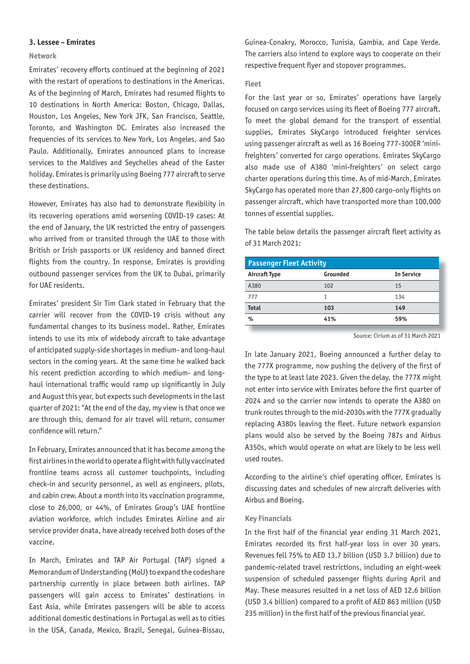#### **3. Lessee – Emirates**

#### **Network**

Emirates' recovery efforts continued at the beginning of 2021 with the restart of operations to destinations in the Americas. As of the beginning of March, Emirates had resumed flights to 10 destinations in North America: Boston, Chicago, Dallas, Houston, Los Angeles, New York JFK, San Francisco, Seattle, Toronto, and Washington DC. Emirates also increased the frequencies of its services to New York, Los Angeles, and Sao Paulo. Additionally, Emirates announced plans to increase services to the Maldives and Seychelles ahead of the Easter holiday. Emirates is primarily using Boeing 777 aircraft to serve these destinations.

However, Emirates has also had to demonstrate flexibility in its recovering operations amid worsening COVID-19 cases: At the end of January, the UK restricted the entry of passengers who arrived from or transited through the UAE to those with British or Irish passports or UK residency and banned direct flights from the country. In response, Emirates is providing outbound passenger services from the UK to Dubai, primarily for UAE residents.

Emirates' president Sir Tim Clark stated in February that the carrier will recover from the COVID-19 crisis without any fundamental changes to its business model. Rather, Emirates intends to use its mix of widebody aircraft to take advantage of anticipated supply-side shortages in medium- and long-haul sectors in the coming years. At the same time he walked back his recent prediction according to which medium- and longhaul international traffic would ramp up significantly in July and August this year, but expects such developments in the last quarter of 2021: "At the end of the day, my view is that once we are through this, demand for air travel will return, consumer confidence will return."

In February, Emirates announced that it has become among the first airlines in the world to operate a flight with fully vaccinated frontline teams across all customer touchpoints, including check-in and security personnel, as well as engineers, pilots, and cabin crew. About a month into its vaccination programme, close to 26,000, or 44%, of Emirates Group's UAE frontline aviation workforce, which includes Emirates Airline and air service provider dnata, have already received both doses of the vaccine.

In March, Emirates and TAP Air Portugal (TAP) signed a Memorandum of Understanding (MoU) to expand the codeshare partnership currently in place between both airlines. TAP passengers will gain access to Emirates' destinations in East Asia, while Emirates passengers will be able to access additional domestic destinations in Portugal as well as to cities in the USA, Canada, Mexico, Brazil, Senegal, Guinea-Bissau,

Guinea-Conakry, Morocco, Tunisia, Gambia, and Cape Verde. The carriers also intend to explore ways to cooperate on their respective frequent flyer and stopover programmes.

#### **Fleet**

For the last year or so, Emirates' operations have largely focused on cargo services using its fleet of Boeing 777 aircraft. To meet the global demand for the transport of essential supplies, Emirates SkyCargo introduced freighter services using passenger aircraft as well as 16 Boeing 777-300ER 'minifreighters' converted for cargo operations. Emirates SkyCargo also made use of A380 'mini-freighters' on select cargo charter operations during this time. As of mid-March, Emirates SkyCargo has operated more than 27,800 cargo-only flights on passenger aircraft, which have transported more than 100,000 tonnes of essential supplies.

The table below details the passenger aircraft fleet activity as of 31 March 2021:

| <b>Passenger Fleet Activity</b> |          |                   |  |  |
|---------------------------------|----------|-------------------|--|--|
| Aircraft Type                   | Grounded | <b>In Service</b> |  |  |
| A380                            | 102      | 15                |  |  |
| 777                             | 1        | 134               |  |  |
| <b>Total</b>                    | 103      | 149               |  |  |
| %                               | 41%      | 59%               |  |  |
|                                 |          |                   |  |  |

Source: Cirium as of 31 March 2021

In late January 2021, Boeing announced a further delay to the 777X programme, now pushing the delivery of the first of the type to at least late 2023. Given the delay, the 777X might not enter into service with Emirates before the first quarter of 2024 and so the carrier now intends to operate the A380 on trunk routes through to the mid-2030s with the 777X gradually replacing A380s leaving the fleet. Future network expansion plans would also be served by the Boeing 787s and Airbus A350s, which would operate on what are likely to be less well used routes.

According to the airline's chief operating officer, Emirates is discussing dates and schedules of new aircraft deliveries with Airbus and Boeing.

#### **Key Financials**

In the first half of the financial year ending 31 March 2021, Emirates recorded its first half-year loss in over 30 years. Revenues fell 75% to AED 13.7 billion (USD 3.7 billion) due to pandemic-related travel restrictions, including an eight-week suspension of scheduled passenger flights during April and May. These measures resulted in a net loss of AED 12.6 billion (USD 3.4 billion) compared to a profit of AED 863 million (USD 235 million) in the first half of the previous financial year.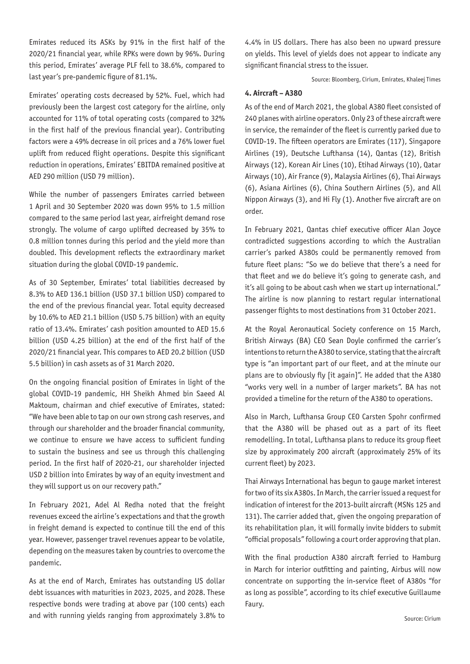Emirates reduced its ASKs by 91% in the first half of the 2020/21 financial year, while RPKs were down by 96%. During this period, Emirates' average PLF fell to 38.6%, compared to last year's pre-pandemic figure of 81.1%.

Emirates' operating costs decreased by 52%. Fuel, which had previously been the largest cost category for the airline, only accounted for 11% of total operating costs (compared to 32% in the first half of the previous financial year). Contributing factors were a 49% decrease in oil prices and a 76% lower fuel uplift from reduced flight operations. Despite this significant reduction in operations, Emirates' EBITDA remained positive at AED 290 million (USD 79 million).

While the number of passengers Emirates carried between 1 April and 30 September 2020 was down 95% to 1.5 million compared to the same period last year, airfreight demand rose strongly. The volume of cargo uplifted decreased by 35% to 0.8 million tonnes during this period and the yield more than doubled. This development reflects the extraordinary market situation during the global COVID-19 pandemic.

As of 30 September, Emirates' total liabilities decreased by 8.3% to AED 136.1 billion (USD 37.1 billion USD) compared to the end of the previous financial year. Total equity decreased by 10.6% to AED 21.1 billion (USD 5.75 billion) with an equity ratio of 13.4%. Emirates' cash position amounted to AED 15.6 billion (USD 4.25 billion) at the end of the first half of the 2020/21 financial year. This compares to AED 20.2 billion (USD 5.5 billion) in cash assets as of 31 March 2020.

On the ongoing financial position of Emirates in light of the global COVID-19 pandemic, HH Sheikh Ahmed bin Saeed Al Maktoum, chairman and chief executive of Emirates, stated: "We have been able to tap on our own strong cash reserves, and through our shareholder and the broader financial community, we continue to ensure we have access to sufficient funding to sustain the business and see us through this challenging period. In the first half of 2020-21, our shareholder injected USD 2 billion into Emirates by way of an equity investment and they will support us on our recovery path."

In February 2021, Adel Al Redha noted that the freight revenues exceed the airline's expectations and that the growth in freight demand is expected to continue till the end of this year. However, passenger travel revenues appear to be volatile, depending on the measures taken by countries to overcome the pandemic.

As at the end of March, Emirates has outstanding US dollar debt issuances with maturities in 2023, 2025, and 2028. These respective bonds were trading at above par (100 cents) each and with running yields ranging from approximately 3.8% to

4.4% in US dollars. There has also been no upward pressure on yields. This level of yields does not appear to indicate any significant financial stress to the issuer.

Source: Bloomberg, Cirium, Emirates, Khaleej Times

#### **4. Aircraft – A380**

As of the end of March 2021, the global A380 fleet consisted of 240 planes with airline operators. Only 23 of these aircraft were in service, the remainder of the fleet is currently parked due to COVID-19. The fifteen operators are Emirates (117), Singapore Airlines (19), Deutsche Lufthansa (14), Qantas (12), British Airways (12), Korean Air Lines (10), Etihad Airways (10), Qatar Airways (10), Air France (9), Malaysia Airlines (6), Thai Airways (6), Asiana Airlines (6), China Southern Airlines (5), and All Nippon Airways (3), and Hi Fly (1). Another five aircraft are on order.

In February 2021, Qantas chief executive officer Alan Joyce contradicted suggestions according to which the Australian carrier's parked A380s could be permanently removed from future fleet plans: "So we do believe that there's a need for that fleet and we do believe it's going to generate cash, and it's all going to be about cash when we start up international." The airline is now planning to restart regular international passenger flights to most destinations from 31 October 2021.

At the Royal Aeronautical Society conference on 15 March, British Airways (BA) CEO Sean Doyle confirmed the carrier's intentions to return the A380 to service, stating that the aircraft type is "an important part of our fleet, and at the minute our plans are to obviously fly [it again]". He added that the A380 "works very well in a number of larger markets". BA has not provided a timeline for the return of the A380 to operations.

Also in March, Lufthansa Group CEO Carsten Spohr confirmed that the A380 will be phased out as a part of its fleet remodelling. In total, Lufthansa plans to reduce its group fleet size by approximately 200 aircraft (approximately 25% of its current fleet) by 2023.

Thai Airways International has begun to gauge market interest for two of its six A380s. In March, the carrier issued a request for indication of interest for the 2013-built aircraft (MSNs 125 and 131). The carrier added that, given the ongoing preparation of its rehabilitation plan, it will formally invite bidders to submit "official proposals" following a court order approving that plan.

With the final production A380 aircraft ferried to Hamburg in March for interior outfitting and painting, Airbus will now concentrate on supporting the in-service fleet of A380s "for as long as possible", according to its chief executive Guillaume Faury.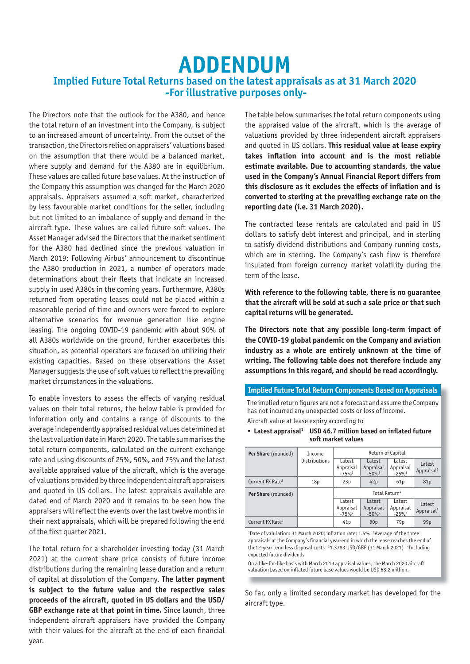# **ADDENDUM Implied Future Total Returns based on the latest appraisals as at 31 March 2020 -For illustrative purposes only-**

The Directors note that the outlook for the A380, and hence the total return of an investment into the Company, is subject to an increased amount of uncertainty. From the outset of the transaction, the Directors relied on appraisers' valuations based on the assumption that there would be a balanced market, where supply and demand for the A380 are in equilibrium. These values are called future base values. At the instruction of the Company this assumption was changed for the March 2020 appraisals. Appraisers assumed a soft market, characterized by less favourable market conditions for the seller, including but not limited to an imbalance of supply and demand in the aircraft type. These values are called future soft values. The Asset Manager advised the Directors that the market sentiment for the A380 had declined since the previous valuation in March 2019: Following Airbus' announcement to discontinue the A380 production in 2021, a number of operators made determinations about their fleets that indicate an increased supply in used A380s in the coming years. Furthermore, A380s returned from operating leases could not be placed within a reasonable period of time and owners were forced to explore alternative scenarios for revenue generation like engine leasing. The ongoing COVID-19 pandemic with about 90% of all A380s worldwide on the ground, further exacerbates this situation, as potential operators are focused on utilizing their existing capacities. Based on these observations the Asset Manager suggests the use of soft values to reflect the prevailing market circumstances in the valuations.

To enable investors to assess the effects of varying residual values on their total returns, the below table is provided for information only and contains a range of discounts to the average independently appraised residual values determined at the last valuation date in March 2020. The table summarises the total return components, calculated on the current exchange rate and using discounts of 25%, 50%, and 75% and the latest available appraised value of the aircraft, which is the average of valuations provided by three independent aircraft appraisers and quoted in US dollars. The latest appraisals available are dated end of March 2020 and it remains to be seen how the appraisers will reflect the events over the last twelve months in their next appraisals, which will be prepared following the end of the first quarter 2021.

The total return for a shareholder investing today (31 March 2021) at the current share price consists of future income distributions during the remaining lease duration and a return of capital at dissolution of the Company. **The latter payment is subject to the future value and the respective sales proceeds of the aircraft, quoted in US dollars and the USD/ GBP exchange rate at that point in time.** Since launch, three independent aircraft appraisers have provided the Company with their values for the aircraft at the end of each financial year.

The table below summarises the total return components using the appraised value of the aircraft, which is the average of valuations provided by three independent aircraft appraisers and quoted in US dollars. **This residual value at lease expiry takes inflation into account and is the most reliable estimate available. Due to accounting standards, the value used in the Company's Annual Financial Report differs from this disclosure as it excludes the effects of inflation and is converted to sterling at the prevailing exchange rate on the reporting date (i.e. 31 March 2020).** 

The contracted lease rentals are calculated and paid in US dollars to satisfy debt interest and principal, and in sterling to satisfy dividend distributions and Company running costs, which are in sterling. The Company's cash flow is therefore insulated from foreign currency market volatility during the term of the lease.

**With reference to the following table, there is no guarantee that the aircraft will be sold at such a sale price or that such capital returns will be generated.**

**The Directors note that any possible long-term impact of the COVID-19 global pandemic on the Company and aviation industry as a whole are entirely unknown at the time of writing. The following table does not therefore include any assumptions in this regard, and should be read accordingly.**

#### **Implied Future Total Return Components Based on Appraisals**

The implied return figures are not a forecast and assume the Company has not incurred any unexpected costs or loss of income. Aircraft value at lease expiry according to

• **Latest appraisal1 USD 46.7 million based on inflated future soft market values**

| Per Share (rounded)          | Income          | Return of Capital             |                               |                               |                                  |  |
|------------------------------|-----------------|-------------------------------|-------------------------------|-------------------------------|----------------------------------|--|
|                              | Distributions   | Latest<br>Appraisal<br>$-75%$ | Latest<br>Appraisal<br>$-50%$ | Latest<br>Appraisal<br>$-25%$ | Latest<br>Appraisal <sup>2</sup> |  |
| Current FX Rate <sup>3</sup> | 18 <sub>p</sub> | 23p                           | 42p                           | 61 <sub>p</sub>               | 81p                              |  |
| <b>Per Share</b> (rounded)   |                 | Total Return <sup>4</sup>     |                               |                               |                                  |  |
|                              |                 | Latest<br>Appraisal<br>$-75%$ | Latest<br>Appraisal<br>$-50%$ | Latest<br>Appraisal<br>$-25%$ | Latest<br>Appraisal <sup>2</sup> |  |
| Current FX Rate <sup>3</sup> |                 | 41 <sub>p</sub>               | 60 <sub>p</sub>               | 79 <sub>p</sub>               | 99 <sub>p</sub>                  |  |

<sup>1</sup>Date of valulation: 31 March 2020; inflation rate: 1.5% <sup>2</sup>Average of the three appraisals at the Company's financial year-end in which the lease reaches the end of the12-year term less disposal costs <sup>3</sup>1.3783 USD/GBP (31 March 2021) <sup>4</sup>Including expected future dividends

On a like-for-like basis with March 2019 appraisal values, the March 2020 aircraft valuation based on inflated future base values would be USD 68.2 million.

So far, only a limited secondary market has developed for the aircraft type.